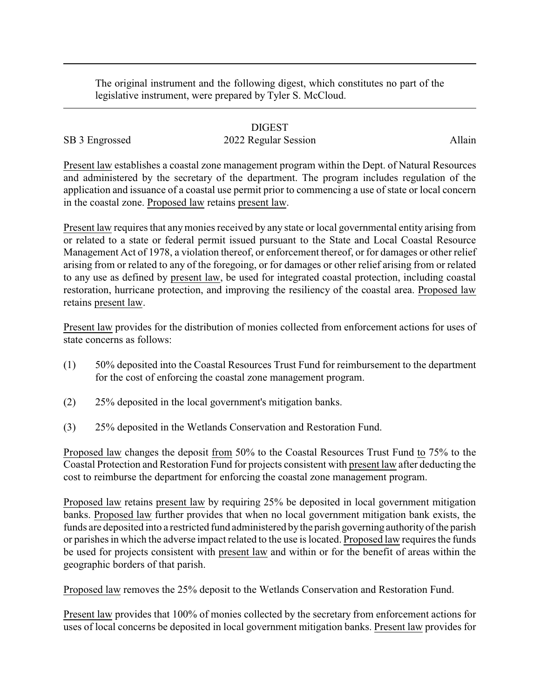The original instrument and the following digest, which constitutes no part of the legislative instrument, were prepared by Tyler S. McCloud.

## DIGEST

## SB 3 Engrossed 2022 Regular Session Allain

Present law establishes a coastal zone management program within the Dept. of Natural Resources and administered by the secretary of the department. The program includes regulation of the application and issuance of a coastal use permit prior to commencing a use of state or local concern in the coastal zone. Proposed law retains present law.

Present law requires that anymonies received by any state or local governmental entity arising from or related to a state or federal permit issued pursuant to the State and Local Coastal Resource Management Act of 1978, a violation thereof, or enforcement thereof, or for damages or other relief arising from or related to any of the foregoing, or for damages or other relief arising from or related to any use as defined by present law, be used for integrated coastal protection, including coastal restoration, hurricane protection, and improving the resiliency of the coastal area. Proposed law retains present law.

Present law provides for the distribution of monies collected from enforcement actions for uses of state concerns as follows:

- (1) 50% deposited into the Coastal Resources Trust Fund for reimbursement to the department for the cost of enforcing the coastal zone management program.
- (2) 25% deposited in the local government's mitigation banks.
- (3) 25% deposited in the Wetlands Conservation and Restoration Fund.

Proposed law changes the deposit from 50% to the Coastal Resources Trust Fund to 75% to the Coastal Protection and Restoration Fund for projects consistent with present law after deducting the cost to reimburse the department for enforcing the coastal zone management program.

Proposed law retains present law by requiring 25% be deposited in local government mitigation banks. Proposed law further provides that when no local government mitigation bank exists, the funds are deposited into a restricted fund administered bythe parish governing authorityof the parish or parishes in which the adverse impact related to the use is located. Proposed law requires the funds be used for projects consistent with present law and within or for the benefit of areas within the geographic borders of that parish.

Proposed law removes the 25% deposit to the Wetlands Conservation and Restoration Fund.

Present law provides that 100% of monies collected by the secretary from enforcement actions for uses of local concerns be deposited in local government mitigation banks. Present law provides for